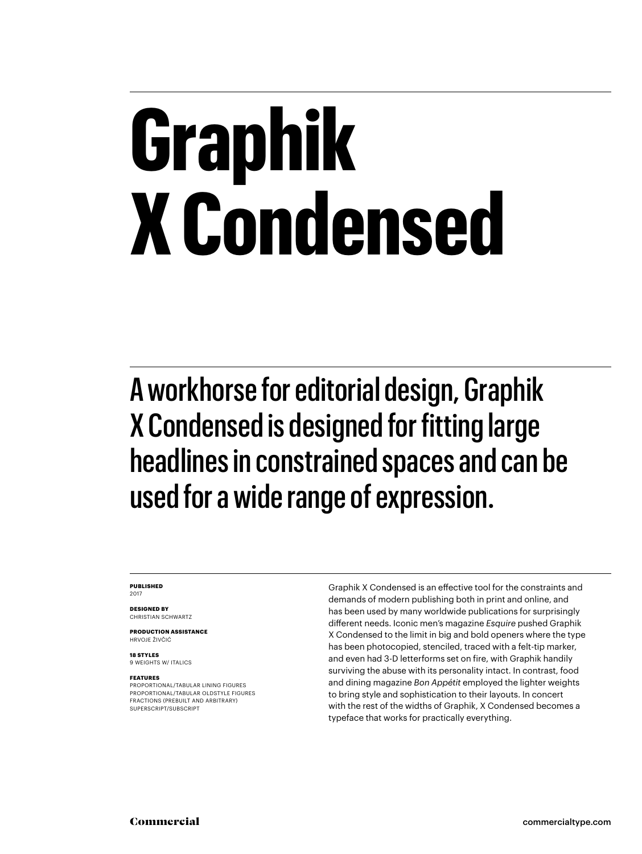## **Graphik X Condensed**

A workhorse for editorial design, Graphik X Condensed is designed for fitting large headlines in constrained spaces and can be used for a wide range of expression.

#### **PUBLISHED** 2017

**DESIGNED BY** CHRISTIAN SCHWARTZ

**PRODUCTION ASSISTANCE** HRVOJE ŽIVČIĆ

**18 STYLES** 9 WEIGHTS W/ ITALICS

#### **FEATURES**

PROPORTIONAL/TABULAR LINING FIGURES PROPORTIONAL/TABULAR OLDSTYLE FIGURES FRACTIONS (PREBUILT AND ARBITRARY) SUPERSCRIPT/SUBSCRIPT

Graphik X Condensed is an effective tool for the constraints and demands of modern publishing both in print and online, and has been used by many worldwide publications for surprisingly different needs. Iconic men's magazine *Esquire* pushed Graphik X Condensed to the limit in big and bold openers where the type has been photocopied, stenciled, traced with a felt-tip marker, and even had 3-D letterforms set on fire, with Graphik handily surviving the abuse with its personality intact. In contrast, food and dining magazine *Bon Appétit* employed the lighter weights to bring style and sophistication to their layouts. In concert with the rest of the widths of Graphik, X Condensed becomes a typeface that works for practically everything.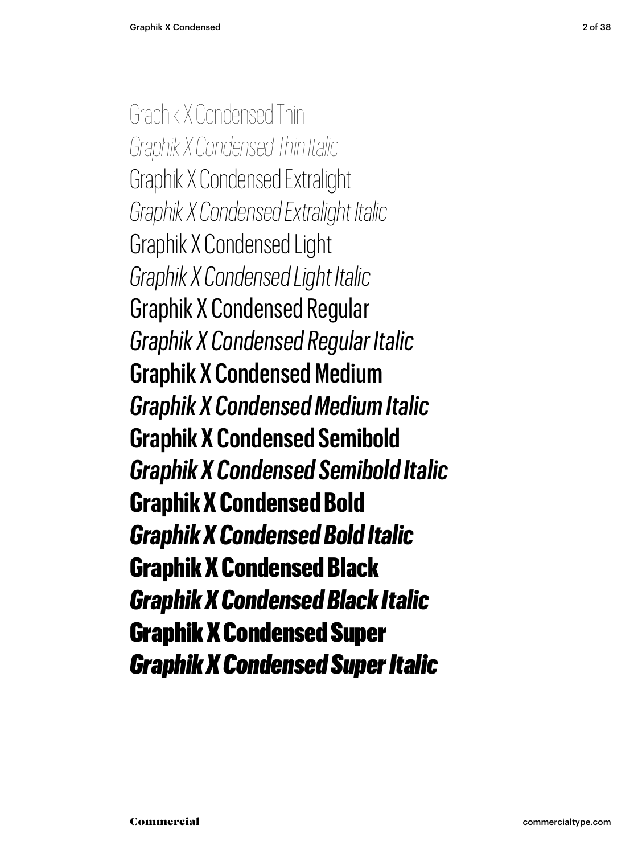Graphik X Condensed Thin *Graphik X Condensed Thin Italic* Graphik X Condensed Extralight *Graphik X Condensed Extralight Italic* Graphik X Condensed Light *Graphik X Condensed Light Italic* Graphik X Condensed Regular *Graphik X Condensed Regular Italic* Graphik X Condensed Medium *Graphik X Condensed Medium Italic* **Graphik X Condensed Semibold** *Graphik X Condensed Semibold Italic* **Graphik X Condensed Bold** *Graphik X Condensed Bold Italic* Graphik X Condensed Black *Graphik X Condensed Black Italic* Graphik X Condensed Super *Graphik X Condensed Super Italic*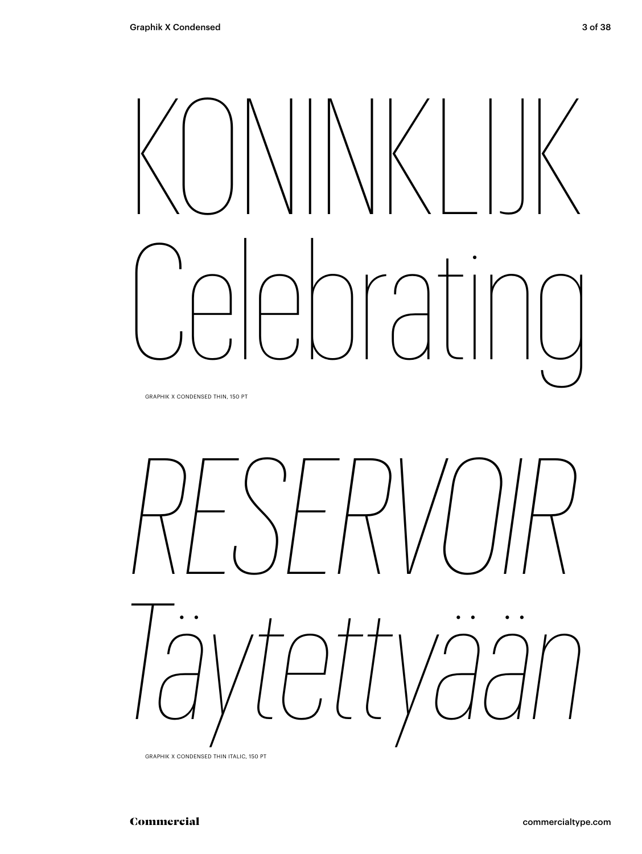# KONINKLIJK Celebrating

GRAPHIK X CONDENSED THIN, 150 PT



GRAPHIK X CONDENSED THIN ITALIC, 150 PT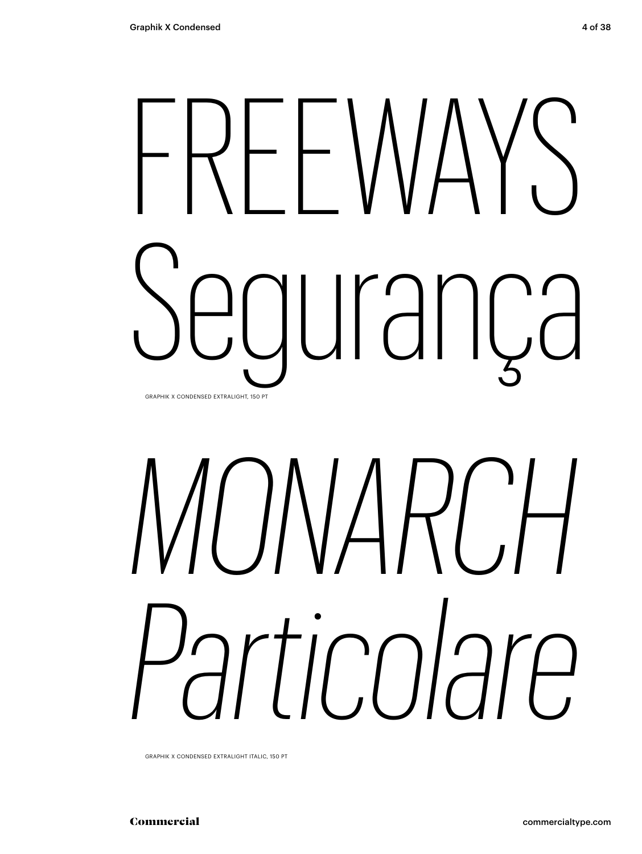## FREEWAYS Segurança GRAPHIK X CONDENSED EXTRALIGHT, 150 PT

# *MONARCH Particolare*

GRAPHIK X CONDENSED EXTRALIGHT ITALIC, 150 PT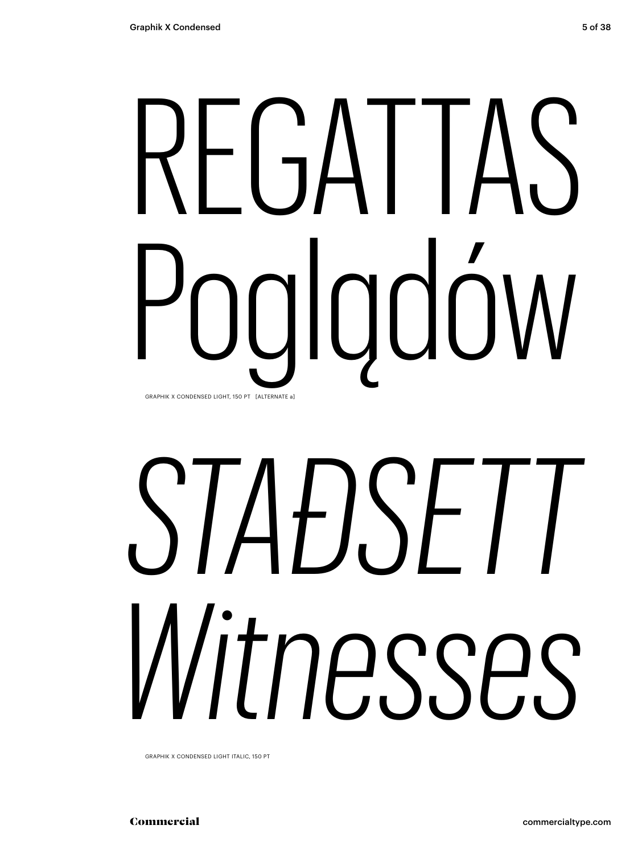## REGALTAS Poglądów GRAPHIK X CONDENSED LIGHT, 150 PT [ALTERNATE a]

# *STAÐSETT Witnesses*

GRAPHIK X CONDENSED LIGHT ITALIC, 150 PT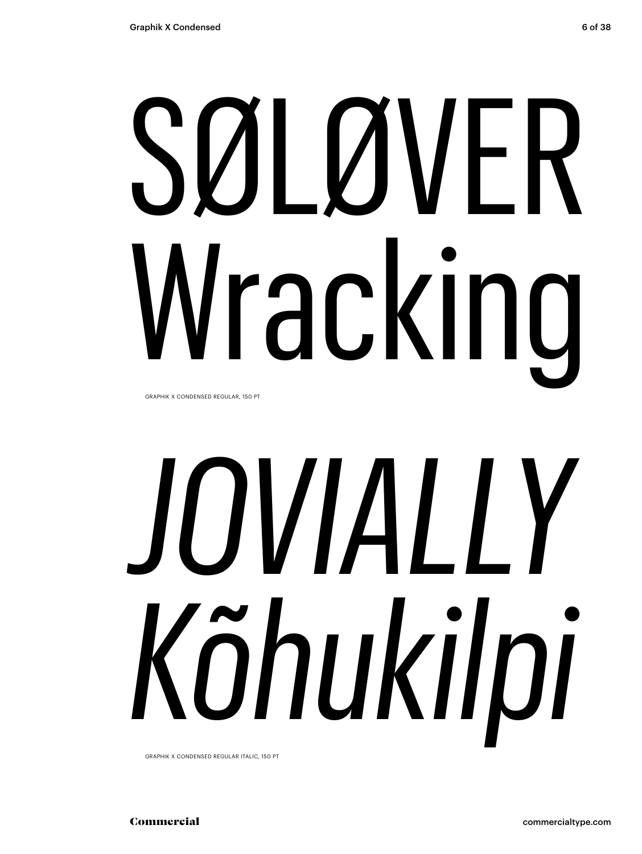# SØLØVER Wracking

GRAPHIK X CONDENSED REGULAR, 150 PT

# *JOVIALLY Kõhukilpi*

GRAPHIK X CONDENSED REGULAR ITALIC, 150 PT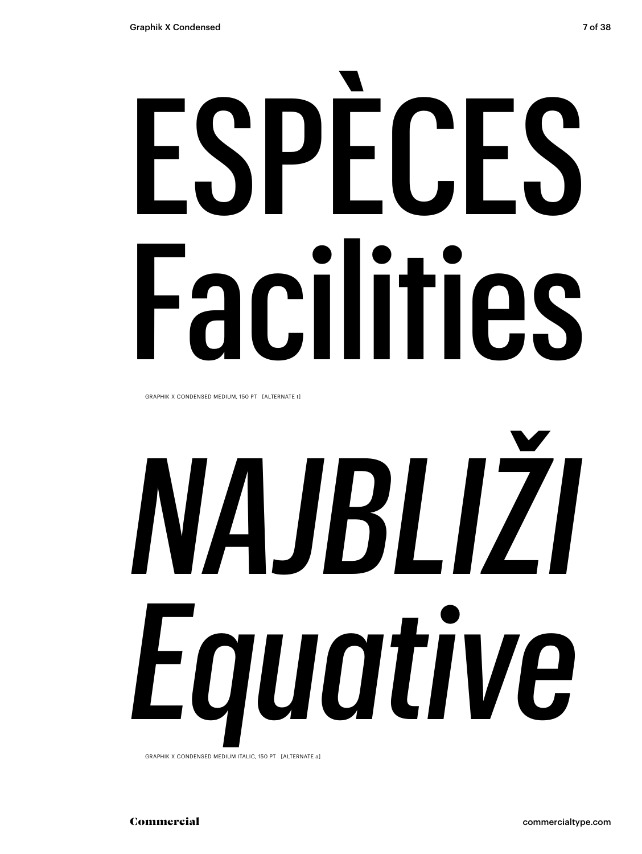# ESPÈCES Facilities

GRAPHIK X CONDENSED MEDIUM, 150 PT [ALTERNATE t]

# *NAJBLIŽI Equative*

GRAPHIK X CONDENSED MEDIUM ITALIC, 150 PT [ALTERNATE a]

Commercial commercialtype.com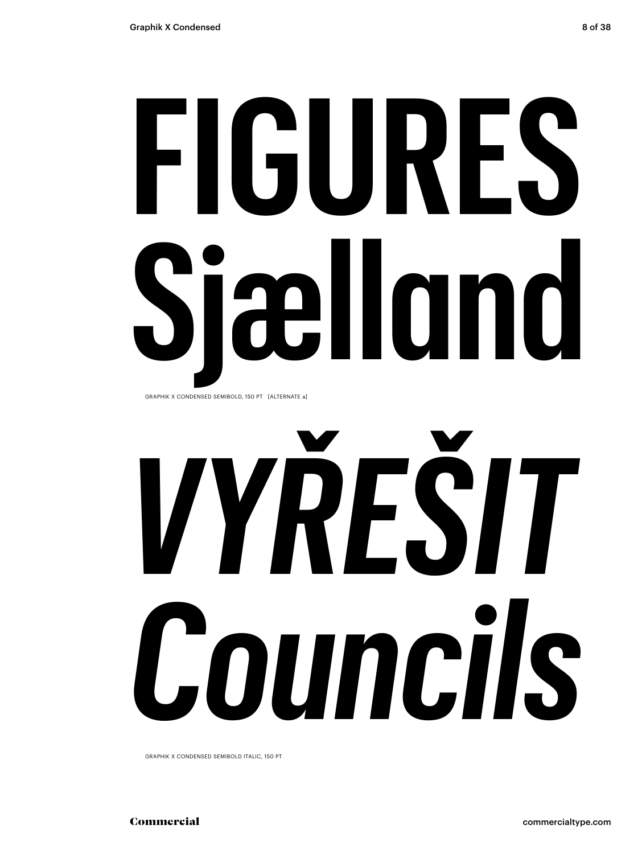# **FIGURES Sjælland**

GRAPHIK X CONDENSED SEMIBOLD, 150 PT [ALTERNATE a]

# *VYŘEŠIT Councils*

GRAPHIK X CONDENSED SEMIBOLD ITALIC, 150 PT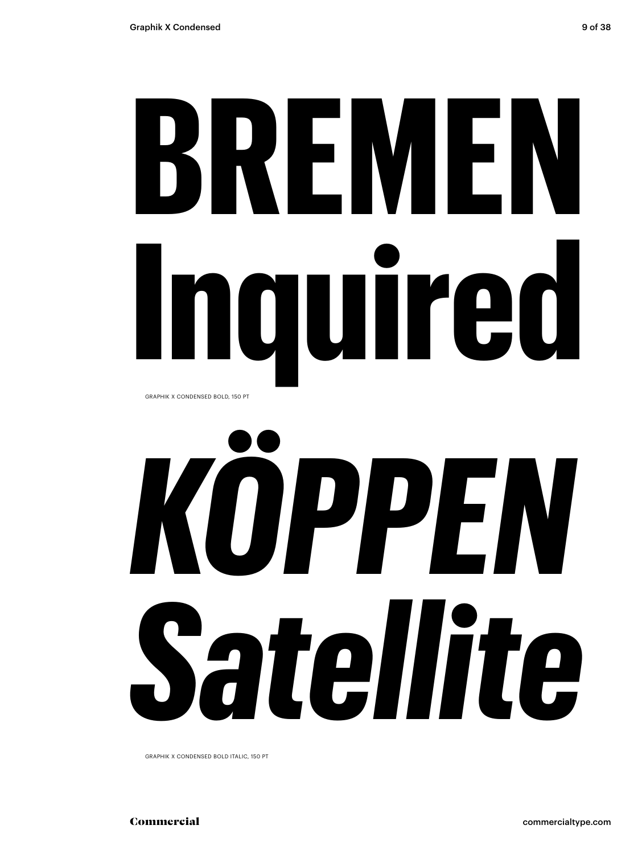## **BREMEN Inquired** GRAPHIK X CONDENSED BOLD, 150 PT

# *KÖPPEN Satellite*

GRAPHIK X CONDENSED BOLD ITALIC, 150 PT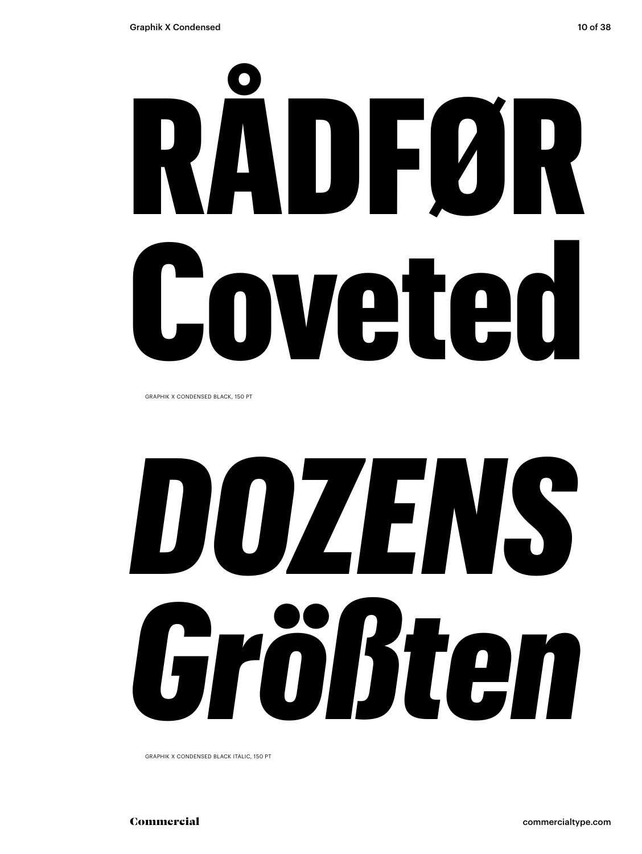# RÅDFØR Coveted

GRAPHIK X CONDENSED BLACK, 150 PT

# *DOZENS Größten*

GRAPHIK X CONDENSED BLACK ITALIC, 150 PT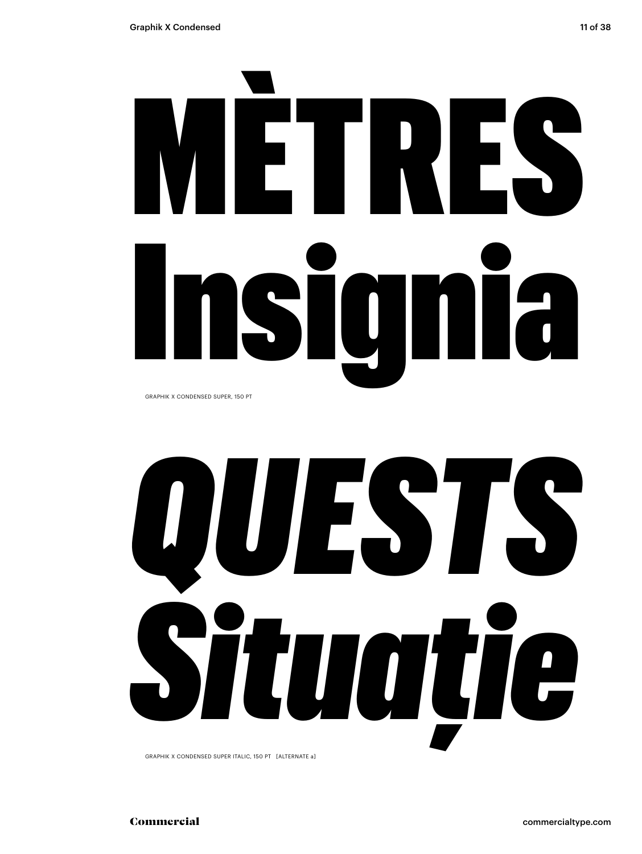

GRAPHIK X CONDENSED SUPER, 150 PT



GRAPHIK X CONDENSED SUPER ITALIC, 150 PT [ALTERNATE a]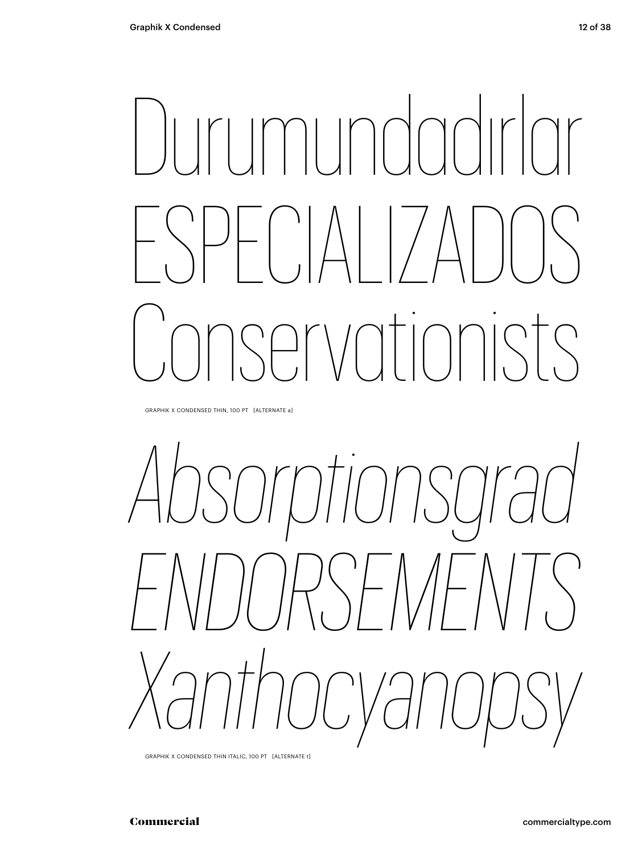## Durumundadırlar ESPECIALIZADOS Conservationists

GRAPHIK X CONDENSED THIN, 100 PT [ALTERNATE a]



GRAPHIK X CONDENSED THIN ITALIC, 100 PT [ALTERNATE t]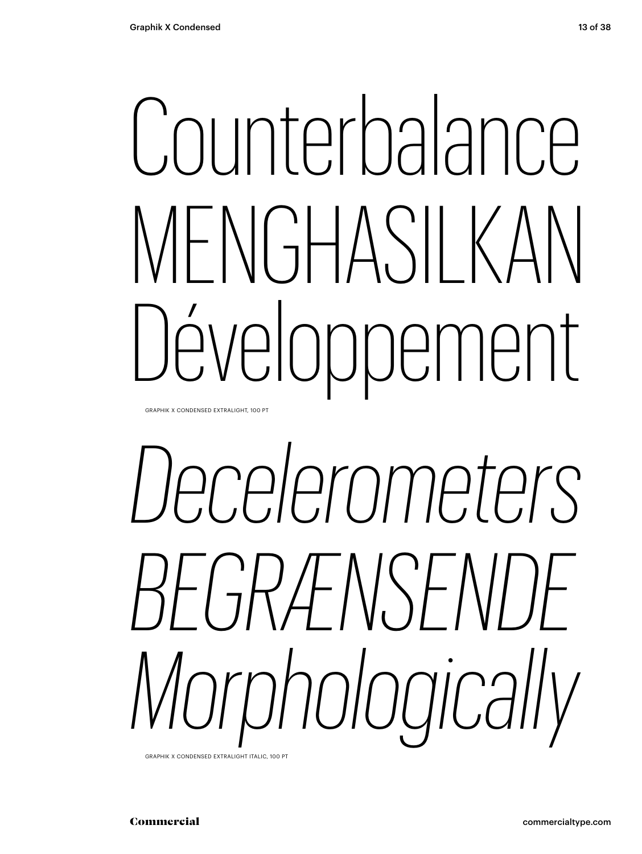## Counterbalance MENGHASILKAN Développement

GRAPHIK X CONDENSED EXTRALIGHT, 100 PT

# *Decelerometers BEGRÆNSENDE Morphologically*

GRAPHIK X CONDENSED EXTRALIGHT ITALIC, 100 PT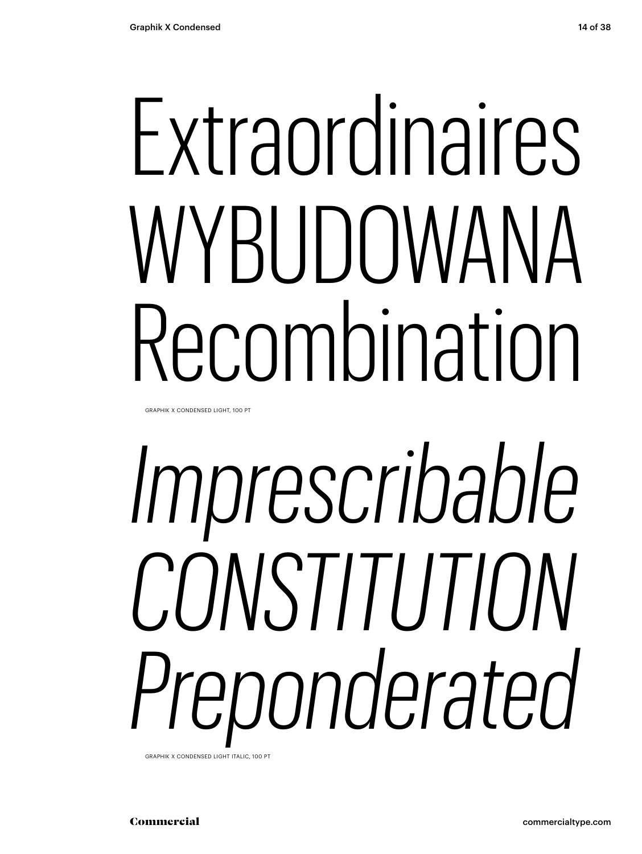## Extraordinaires WYBUDOWANA Recombination

GRAPHIK X CONDENSED LIGHT, 100 PT

# *Imprescribable CONSTITUTION Preponderated*

GRAPHIK X CONDENSED LIGHT ITALIC, 100 PT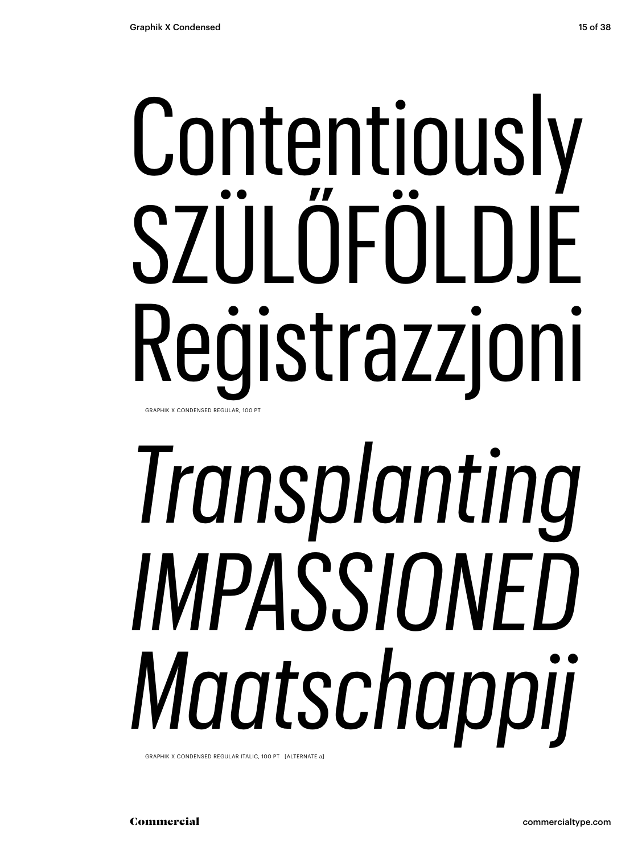## Contentiously SZÜLŐFÖLDJE Reġistrazzjoni GRAPHIK X CONDENSED REGULAR, 100 PT

# *Transplanting IMPASSIONED Maatschappij*

GRAPHIK X CONDENSED REGULAR ITALIC, 100 PT [ALTERNATE a]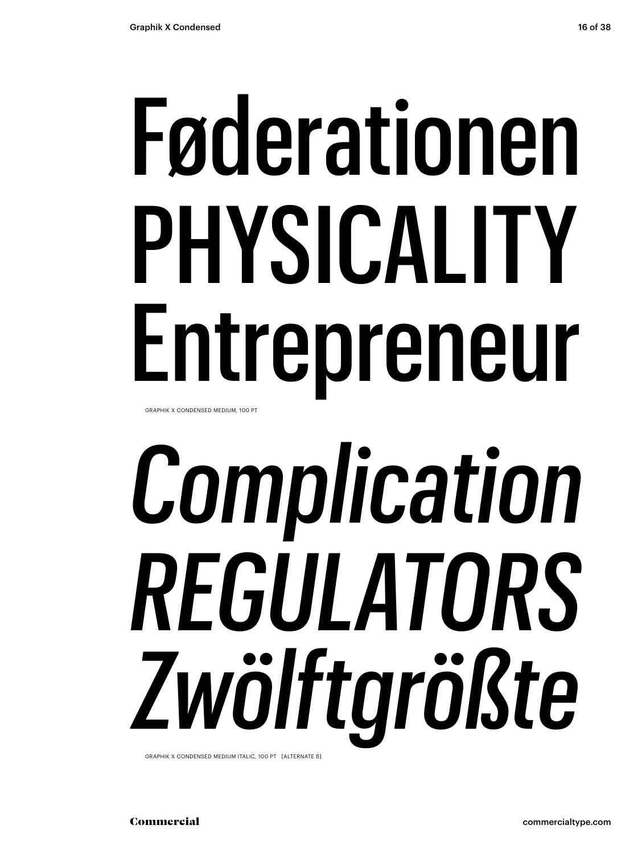## Føderationen PHYSICALITY Entrepreneur GRAPHIK X CONDENSED MEDIUM, 100 PT

# *Complication REGULATORS Zwölftgrößte*

GRAPHIK X CONDENSED MEDIUM ITALIC, 100 PT [ALTERNATE ß]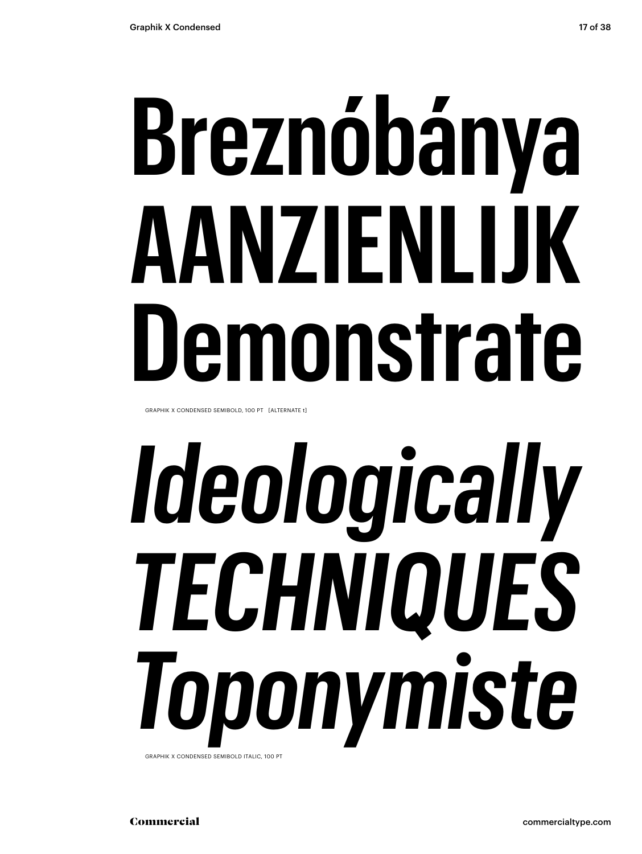## **Breznóbánya AANZIENLIJK Demonstrate**

GRAPHIK X CONDENSED SEMIBOLD, 100 PT [ALTERNATE t]

## *Ideologically TECHNIQUES Toponymiste* GRAPHIK X CONDENSED SEMIBOLD ITALIC, 100 PT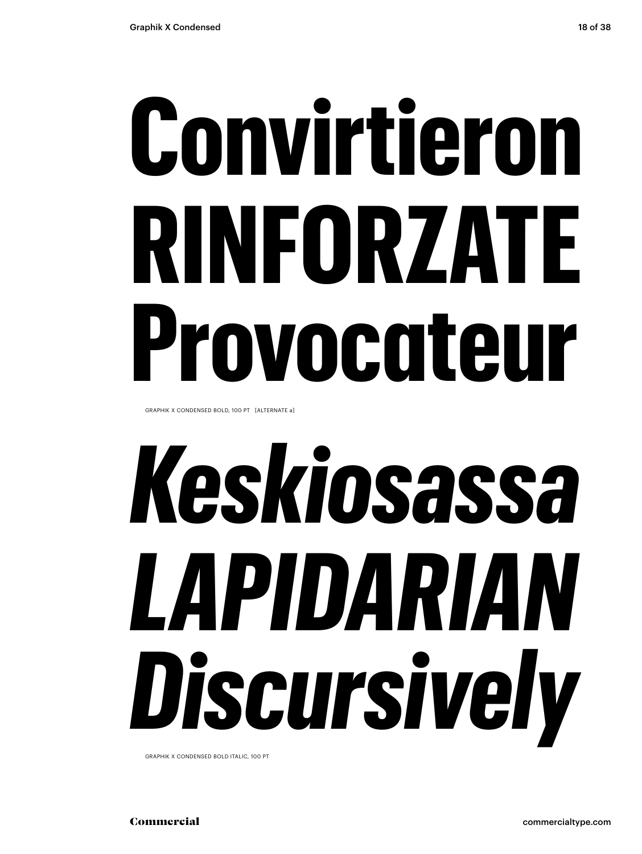## **Convirtieron RINFORZATE Provocateur**

GRAPHIK X CONDENSED BOLD, 100 PT [ALTERNATE a]

# *Keskiosassa LAPIDARIAN Discursively*

GRAPHIK X CONDENSED BOLD ITALIC, 100 PT

Commercial commercialtype.com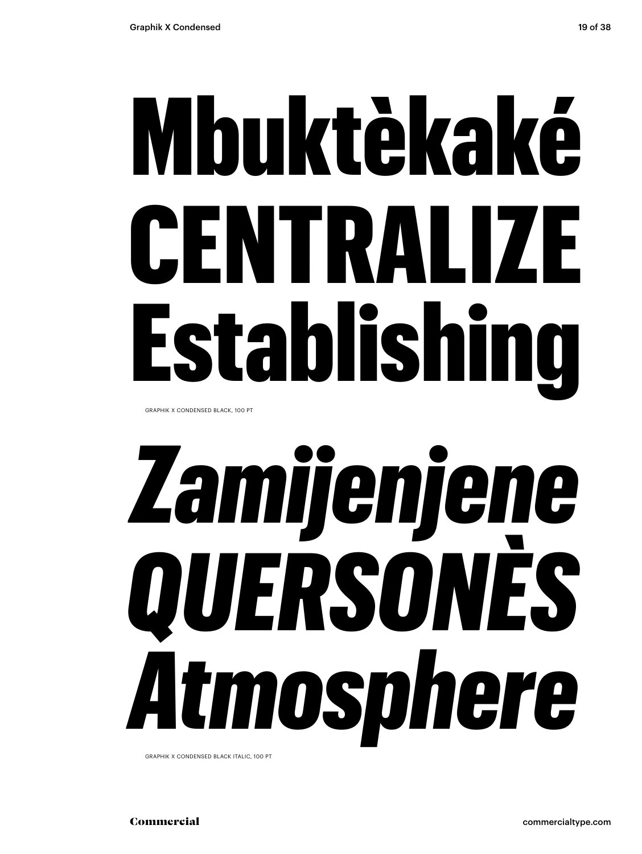# Mbuktèkaké CENTRALIZE Establishing

GRAPHIK X CONDENSED BLACK, 100 PT

# *Zamijenjene QUERSONÈS Atmosphere*

GRAPHIK X CONDENSED BLACK ITALIC, 100 PT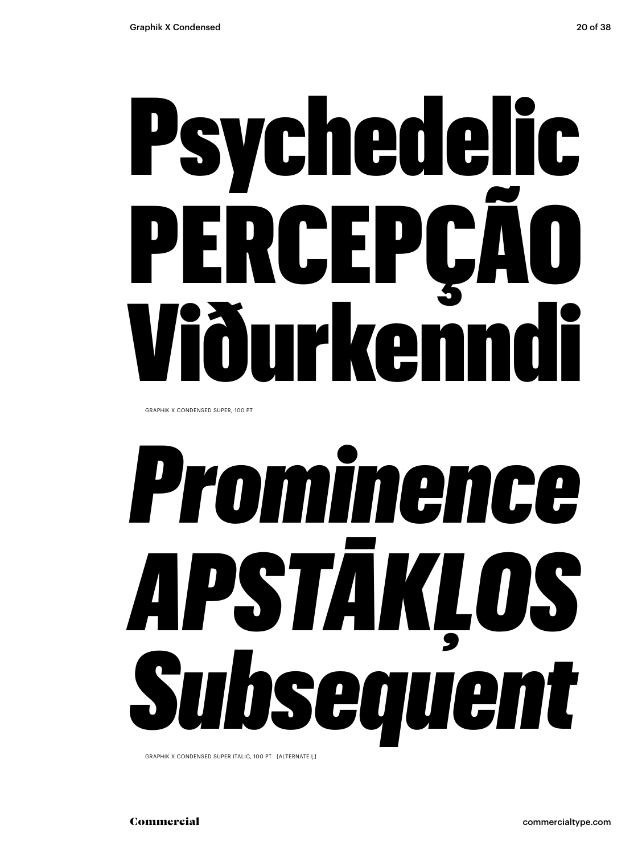## Psychedelic PERCEP( **urkenn**

GRAPHIK X CONDENSED SUPER, 100 PT

# *Prominence APSTĀKĻOS Subsequent*

GRAPHIK X CONDENSED SUPER ITALIC, 100 PT [ALTERNATE Ļ]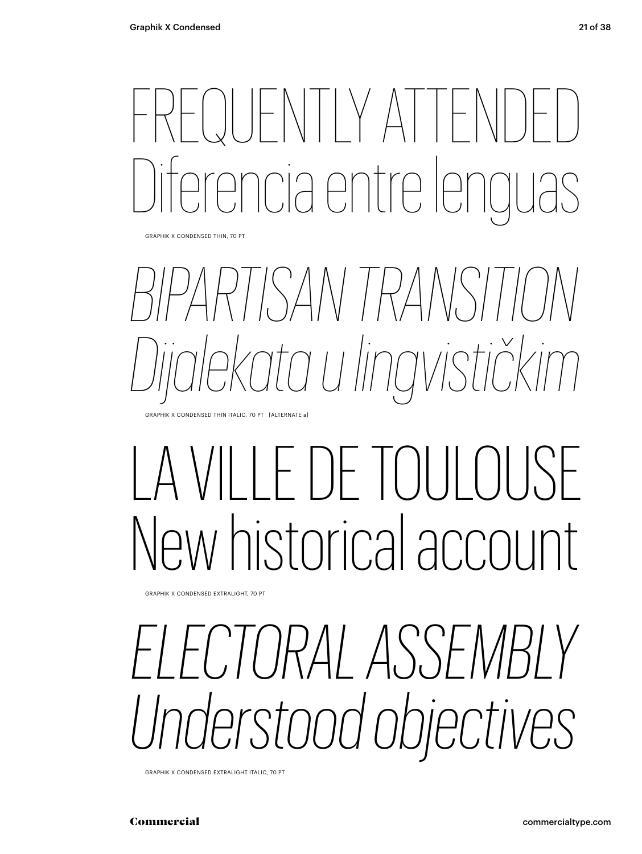### OUFNTIY ATTE re le partre le

GRAPHIK X CONDENSED THIN, 70 PT

### *BIPARTISAN TRANSITION Dijalekata u lingvističkim*

GRAPHIK X CONDENSED THIN ITALIC, 70 PT [ALTERNATE a]

### LA VILLE DE TOULOUSE New historical account

GRAPHIK X CONDENSED EXTRALIGHT, 70 PT

### *ELECTORAL ASSEMBLY Understood objectives*

GRAPHIK X CONDENSED EXTRALIGHT ITALIC, 70 PT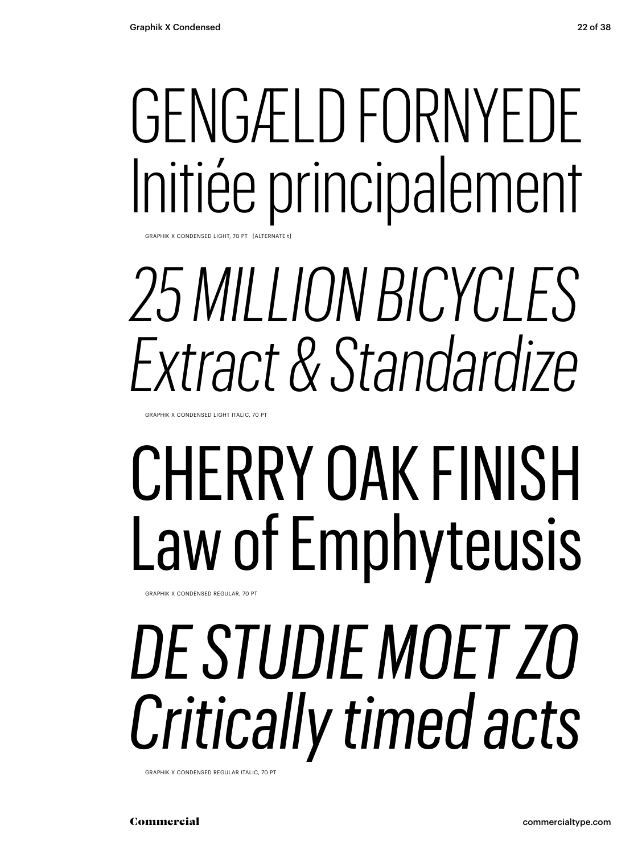### GENGÆLD FORNYEDE Initiée principalement

GRAPHIK X CONDENSED LIGHT, 70 PT [ALTERNATE

### *25 MILLION BICYCLES Extract & Standardize*

GRAPHIK X CONDENSED LIGHT ITALIC, 70 PT

### CHERRY OAK FINISH Law of Emphyteusis

GRAPHIK X CONDENSED REGULAR, 70 PT

### *DE STUDIE MOET ZO Critically timed acts*

GRAPHIK X CONDENSED REGULAR ITALIC, 70 PT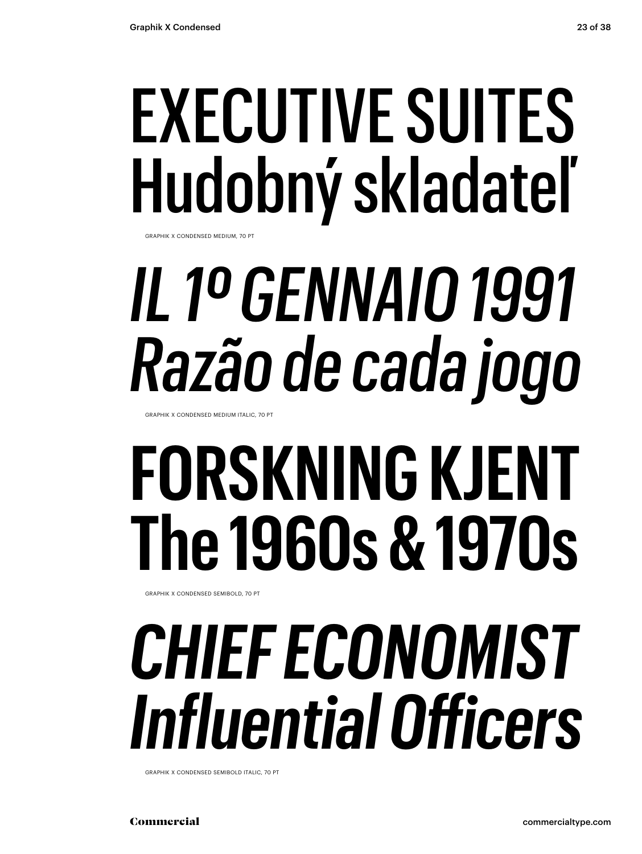### EXECUTIVE SUITES Hudobný skladateľ

GRAPHIK X CONDENSED MEDIUM, 70 PT

## *IL 1º GENNAIO 1991 Razão de cada jogo*

GRAPHIK X CONDENSED MEDIUM ITALIC, 70 PT

### **FORSKNING KJENT The 1960s & 1970s**

GRAPHIK X CONDENSED SEMIBOLD, 70 PT

### *CHIEF ECONOMIST Influential Officers*

GRAPHIK X CONDENSED SEMIBOLD ITALIC, 70 PT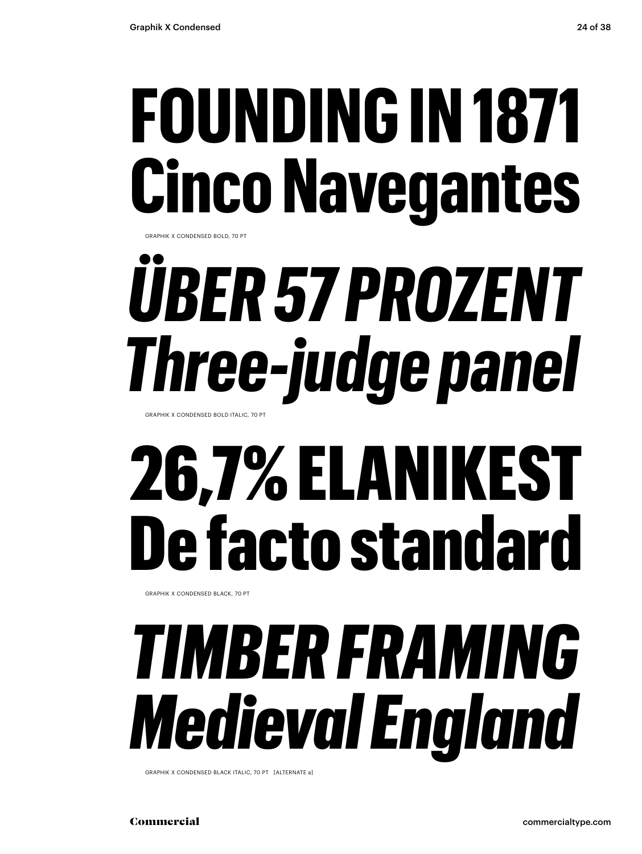### **FOUNDING IN 1871 Cinco Navegantes**

GRAPHIK X CONDENSED BOLD, 70 PT

## *ÜBER 57 PROZENT Three-judge panel*

GRAPHIK X CONDENSED BOLD ITALIC, 70 PT

### 26,7% ELANIKEST De facto standard

GRAPHIK X CONDENSED BLACK, 70 PT

### *TIMBER FRAMING Medieval England*

GRAPHIK X CONDENSED BLACK ITALIC, 70 PT [ALTERNATE a]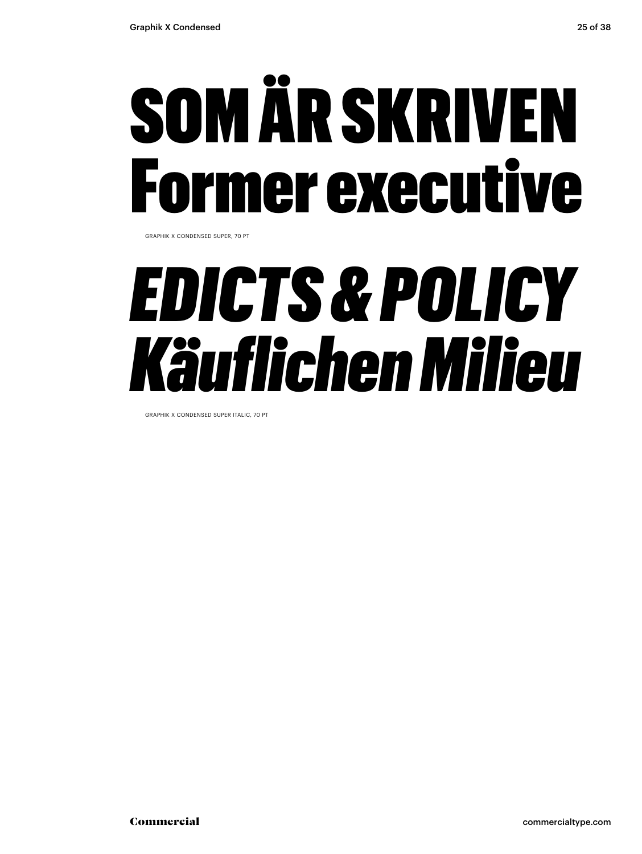## SOM ÄR SKRIVEN rmer executive

GRAPHIK X CONDENSED SUPER, 70 PT

### *EDICTS & POLICY Käuflichen Milieu*

GRAPHIK X CONDENSED SUPER ITALIC, 70 PT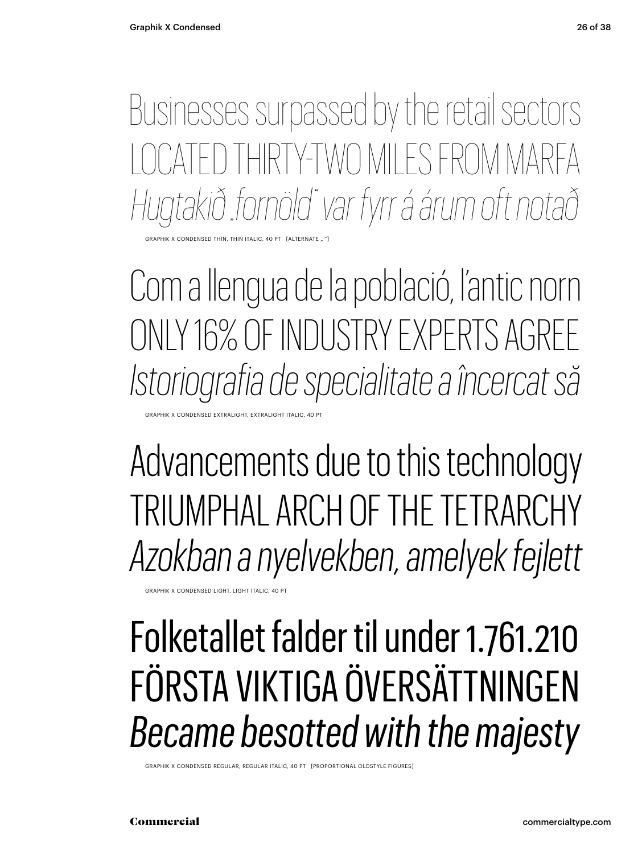Businesses surpassed by the retail sectors CATED THIRTY-TWO MILES FROM MARFA *Hugtakið "fornöld" var fyrr á árum oft notað*

HIK X CONDENSED THIN, THIN ITALIC, 40 PT

Com a llengua de la població, l'antic norn ONLY 16% OF INDUSTRY EXPERTS AGREE *Istoriografia de specialitate a încercat să*

X CONDENSED EXTRALIGHT, EXTRALIGHT ITALIC, 40 PT

Advancements due to this technology TRIUMPHAL ARCH OF THE TETRARCHY *Azokban a nyelvekben, amelyek fejlett*

GRAPHIK X CONDENSED LIGHT, LIGHT ITALIC, 40 PT

#### Folketallet falder til under 1.761.210 FÖRSTA VIKTIGA ÖVERSÄTTNINGEN *Became besotted with the majesty*

GRAPHIK X CONDENSED REGULAR, REGULAR ITALIC, 40 PT [PROPORTIONAL OLDSTYLE FIGURES]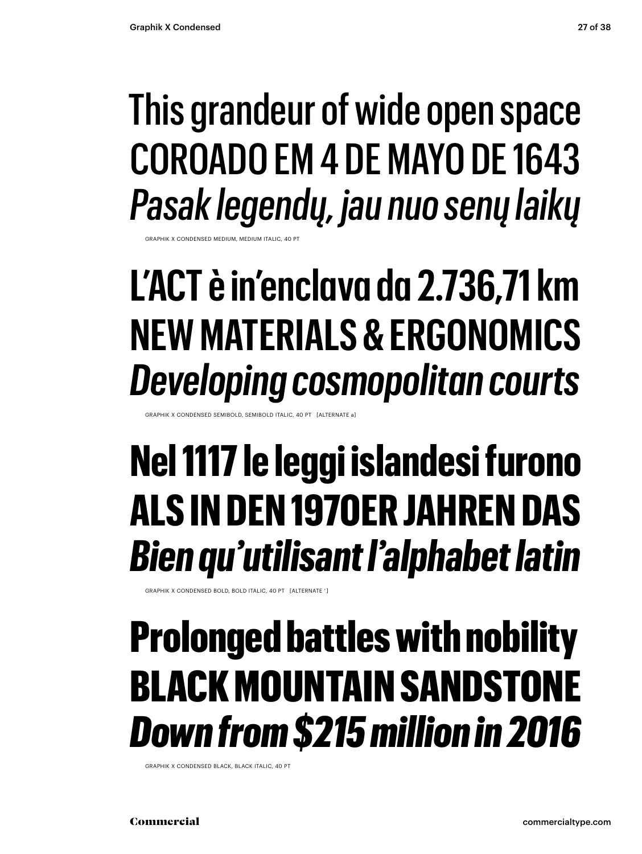#### This grandeur of wide open space COROADO EM 4 DE MAYO DE 1643 *Pasak legendų, jau nuo senų laikų*

GRAPHIK X CONDENSED MEDIUM, MEDIUM ITALIC, 40 PT

#### **L'ACT è in'enclava da 2.736,71 km NEW MATERIALS & ERGONOMICS** *Developing cosmopolitan courts*

GRAPHIK X CONDENSED SEMIBOLD, SEMIBOLD ITALIC, 40 PT [ALTERNATE a]

#### **Nel 1117 le leggi islandesi furono ALS IN DEN 1970ER JAHREN DAS**  *Bien qu'utilisant l'alphabet latin*

GRAPHIK X CONDENSED BOLD, BOLD ITALIC, 40 PT [ALTERNATE ' ]

#### Prolonged battles with nobility BLACK MOUNTAIN SANDSTONE *Down from \$215 million in 2016*

GRAPHIK X CONDENSED BLACK, BLACK ITALIC, 40 PT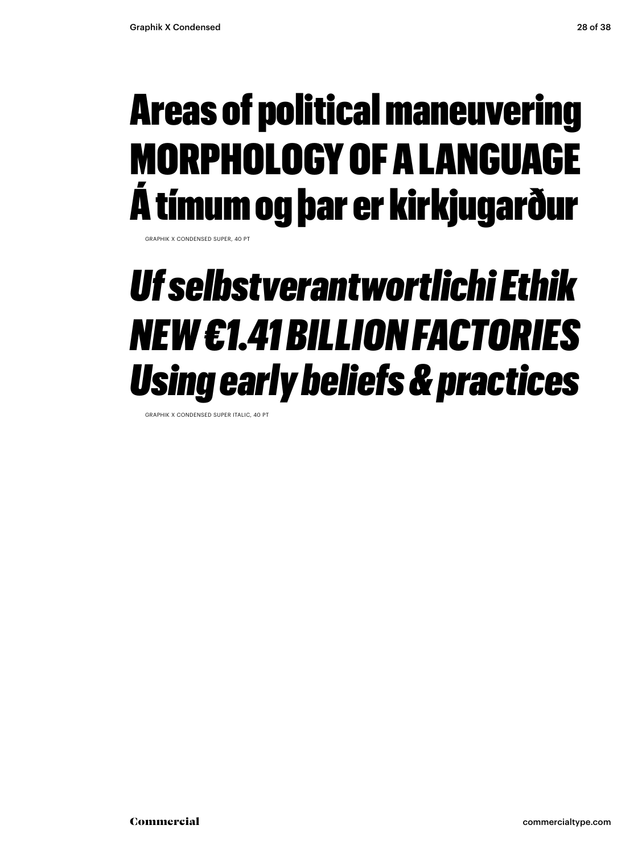#### Areas of political maneuvering MORPHOLOGY OF A LANGUAGE Á tímum og þar er kirkjugarður

GRAPHIK X CONDENSED SUPER, 40 P

#### *Uf selbstverantwortlichi Ethik NEW €1.41 BILLION FACTORIES Using early beliefs & practices*

GRAPHIK X CONDENSED SUPER ITALIC, 40 PT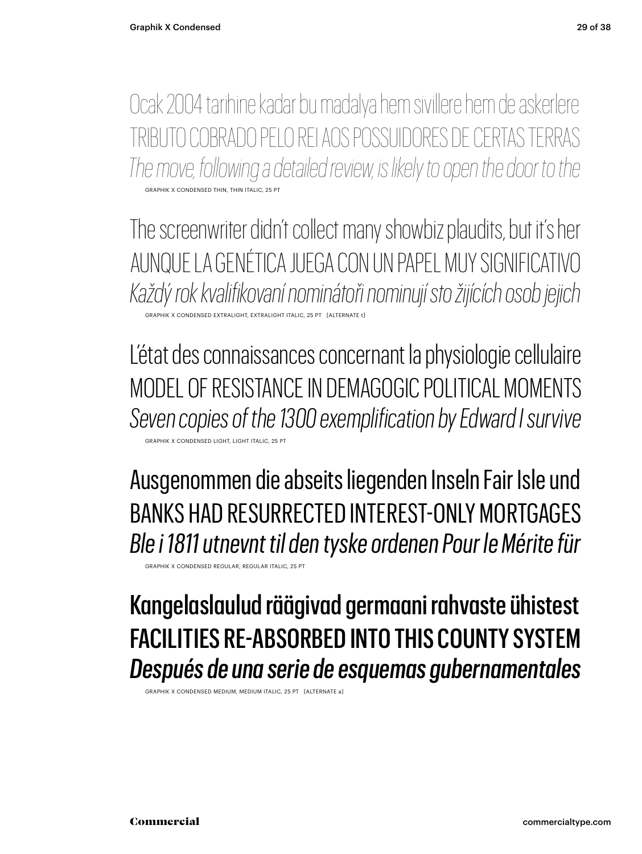Ocak 2004 tarihine kadar bu madalya hem sivillere hem de askerlere TRIBUTO COBRADO PELO REI AOS POSSUIDORES DE CERTAS TERRAS *The move, following a detailed review, is likely to open the door to the* GRAPHIK X CONDENSED THIN, THIN ITALIC, 25 PT

The screenwriter didn't collect many showbiz plaudits, but it's her AUNQUE LA GENÉTICA JUEGA CON UN PAPEL MUY SIGNIFICATIVO *Každý rok kvalifikovaní nominátoři nominují sto žijících osob jejich* GRAPHIK X CONDENSED EXTRALIGHT, EXTRALIGHT ITALIC, 25 PT [ALTERNATE t]

L'état des connaissances concernant la physiologie cellulaire MODEL OF RESISTANCE IN DEMAGOGIC POLITICAL MOMENTS *Seven copies of the 1300 exemplification by Edward I survive* GRAPHIK X CONDENSED LIGHT, LIGHT ITALIC, 25 PT

Ausgenommen die abseits liegenden Inseln Fair Isle und BANKS HAD RESURRECTED INTEREST-ONLY MORTGAGES *Ble i 1811 utnevnt til den tyske ordenen Pour le Mérite für*

GRAPHIK X CONDENSED REGULAR, REGULAR ITALIC, 25 PT

#### Kangelaslaulud räägivad germaani rahvaste ühistest FACILITIES RE-ABSORBED INTO THIS COUNTY SYSTEM *Después de una serie de esquemas gubernamentales*

GRAPHIK X CONDENSED MEDIUM, MEDIUM ITALIC, 25 PT [ALTERNATE a]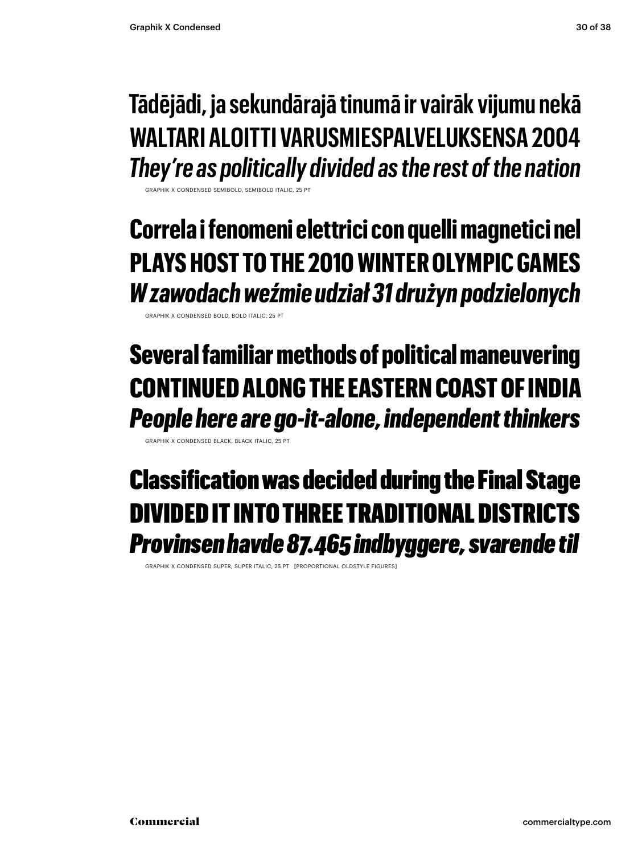#### **Tādējādi, ja sekundārajā tinumā ir vairāk vijumu nekā WALTARI ALOITTI VARUSMIESPALVELUKSENSA 2004** *They're as politically divided as the rest of the nation*

GRAPHIK X CONDENSED SEMIROLD, SEMIROLD ITALIC, 25 PT

**Correla i fenomeni elettrici con quelli magnetici nel PLAYS HOST TO THE 2010 WINTER OLYMPIC GAMES** *W zawodach weźmie udział 31 drużyn podzielonych*

GRAPHIK X CONDENSED BOLD, BOLD ITALIC, 25 PT

#### Several familiar methods of political maneuvering CONTINUED ALONG THE EASTERN COAST OF INDIA *People here are go-it-alone, independent thinkers*

GRAPHIK X CONDENSED BLACK, BLACK ITALIC, 25 PT

#### Classification was decided during the Final Stage DIVIDED IT INTO THREE TRADITIONAL DISTRICTS *Provinsen havde 87.465 indbyggere, svarende til*

GRAPHIK X CONDENSED SUPER, SUPER ITALIC, 25 PT [PROPORTIONAL OLDSTYLE FIGURES]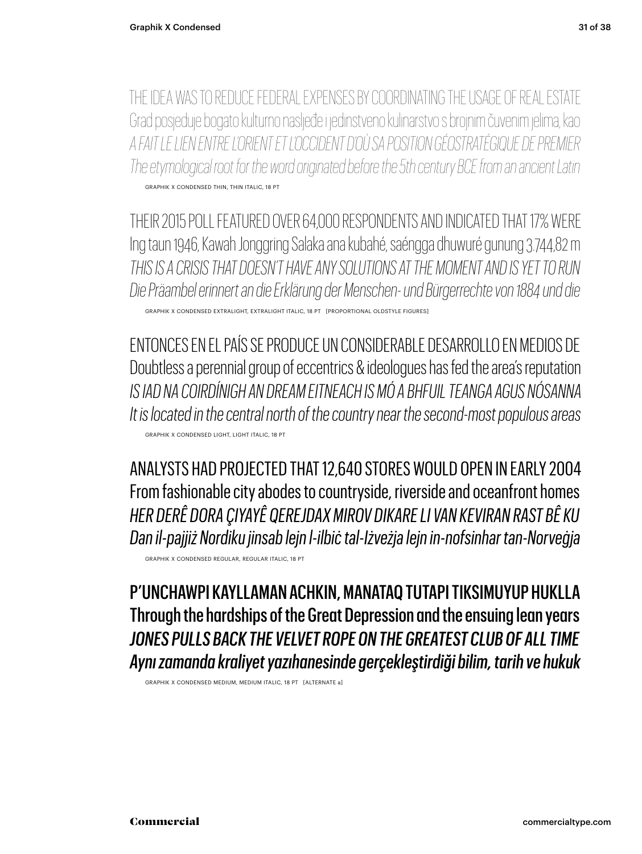THE IDEA WAS TO REDUCE FEDERAL EXPENSES BY COORDINATING THE USAGE OF REAL ESTATE Grad posjeduje bogato kulturno nasljeđe i jedinstveno kulinarstvo s brojnim čuvenim jelima, kao *A FAIT LE LIEN ENTRE L'ORIENT ET L'OCCIDENT D'OÙ SA POSITION GÉOSTRATÉGIQUE DE PREMIER The etymological root for the word originated before the 5th century BCE from an ancient Latin* GRAPHIK X CONDENSED THIN, THIN ITALIC, 18 PT

THEIR 2015 POLL FEATURED OVER 64,000 RESPONDENTS AND INDICATED THAT 17% WERE Ing taun 1946, Kawah Jonggring Salaka ana kubahé, saéngga dhuwuré gunung 3.744,82 m *THIS IS A CRISIS THAT DOESN'T HAVE ANY SOLUTIONS AT THE MOMENT AND IS YET TO RUN Die Präambel erinnert an die Erklärung der Menschen- und Bürgerrechte von 1884 und die*

GRAPHIK X CONDENSED EXTRALIGHT, EXTRALIGHT ITALIC, 18 PT [PROPORTIONAL OLDSTYLE FIGURES]

ENTONCES EN EL PAÍS SE PRODUCE UN CONSIDERABLE DESARROLLO EN MEDIOS DE Doubtless a perennial group of eccentrics & ideologues has fed the area's reputation *IS IAD NA COIRDÍNIGH AN DREAM EITNEACH IS MÓ A BHFUIL TEANGA AGUS NÓSANNA It is located in the central north of the country near the second-most populous areas* GRAPHIK X CONDENSED LIGHT, LIGHT ITALIC, 18 PT

ANALYSTS HAD PROJECTED THAT 12,640 STORES WOULD OPEN IN EARLY 2004 From fashionable city abodes to countryside, riverside and oceanfront homes *HER DERÊ DORA ÇIYAYÊ QEREJDAX MIROV DIKARE LI VAN KEVIRAN RAST BÊ KU Dan il-pajjiż Nordiku jinsab lejn l-ilbiċ tal-Iżveżja lejn in-nofsinhar tan-Norveġja*

GRAPHIK X CONDENSED REGULAR, REGULAR ITALIC, 18 PT

P'UNCHAWPI KAYLLAMAN ACHKIN, MANATAQ TUTAPI TIKSIMUYUP HUKLLA Through the hardships of the Great Depression and the ensuing lean years *JONES PULLS BACK THE VELVET ROPE ON THE GREATEST CLUB OF ALL TIME Aynı zamanda kraliyet yazıhanesinde gerçekleştirdiği bilim, tarih ve hukuk*

GRAPHIK X CONDENSED MEDIUM, MEDIUM ITALIC, 18 PT [ALTERNATE a]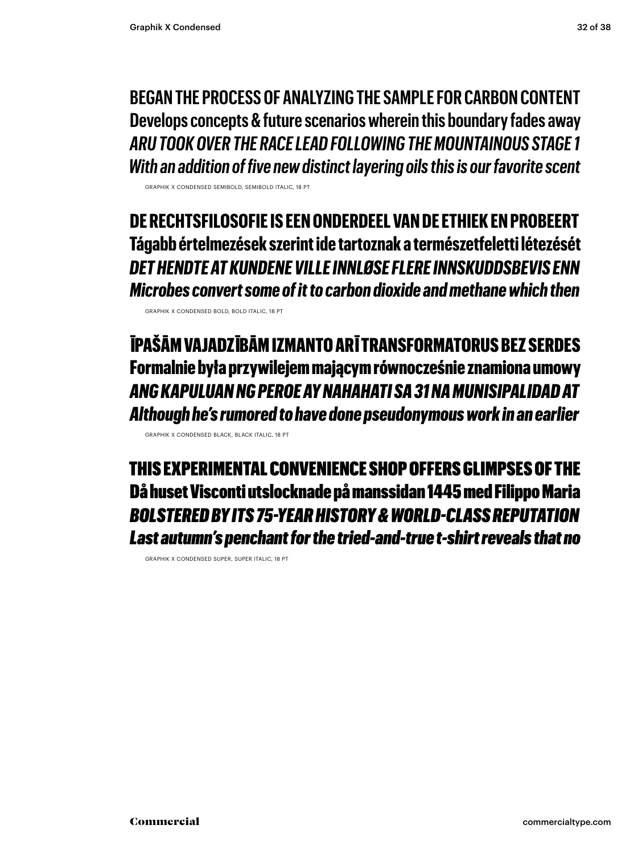**BEGAN THE PROCESS OF ANALYZING THE SAMPLE FOR CARBON CONTENT Develops concepts & future scenarios wherein this boundary fades away** *ARU TOOK OVER THE RACE LEAD FOLLOWING THE MOUNTAINOUS STAGE 1 With an addition of five new distinct layering oils this is our favorite scent*

GRAPHIK X CONDENSED SEMIBOLD, SEMIBOLD ITALIC, 18 PT

**DE RECHTSFILOSOFIE IS EEN ONDERDEEL VAN DE ETHIEK EN PROBEERT Tágabb értelmezések szerint ide tartoznak a természetfeletti létezését** *DET HENDTE AT KUNDENE VILLE INNLØSE FLERE INNSKUDDSBEVIS ENN Microbes convert some of it to carbon dioxide and methane which then*

GRAPHIK X CONDENSED BOLD, BOLD ITALIC, 18 PT

ĪPAŠĀM VAJADZĪBĀM IZMANTO ARĪ TRANSFORMATORUS BEZ SERDES Formalnie była przywilejem mającym równocześnie znamiona umowy *ANG KAPULUAN NG PEROE AY NAHAHATI SA 31 NA MUNISIPALIDAD AT Although he's rumored to have done pseudonymous work in an earlier*

GRAPHIK X CONDENSED BLACK, BLACK ITALIC, 18 PT

THIS EXPERIMENTAL CONVENIENCE SHOP OFFERS GLIMPSES OF THE Då huset Visconti utslocknade på manssidan 1445 med Filippo Maria *BOLSTERED BY ITS 75-YEAR HISTORY & WORLD-CLASS REPUTATION Last autumn's penchant for the tried-and-true t-shirt reveals that no*

GRAPHIK X CONDENSED SUPER, SUPER ITALIC, 18 PT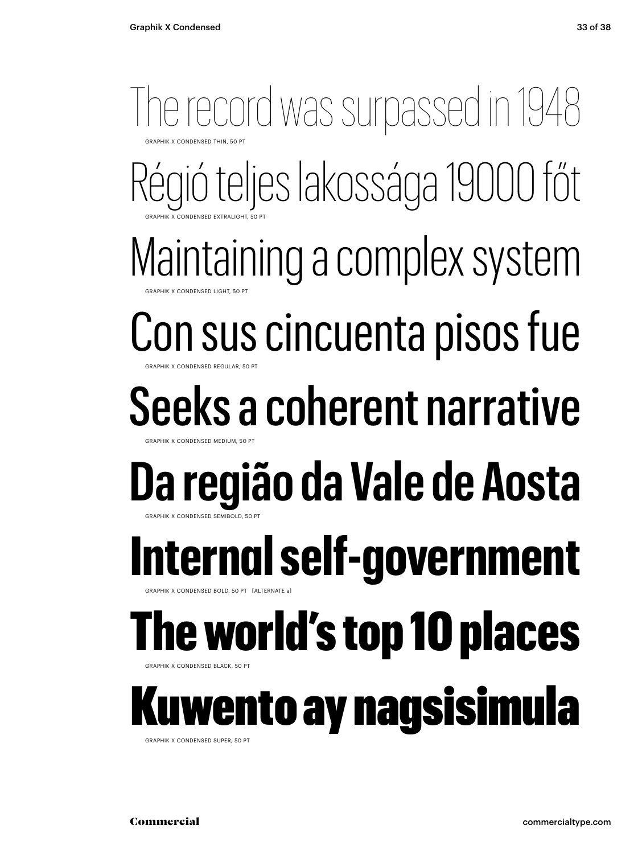#### Régió teljes lakossága 19000 főt Maintaining a complex system Con sus cincuenta pisos fue Seeks a coherent narrative **Da região da Vale de Aosta** The record was surpassed in 1948 **GRAPHIK X CONDENSED THIN, 50 PT** GRAPHIK X CONDENSED EXTRALIGHT, 50 PT GRAPHIK X CONDENSED LIGHT, 50 PT **GRAPHIK X CONDENSED REGULAR, 50 PT** GRAPHIK X CONDENSED MEDIUM, 50 PT GRAPHIK X CONDENSED SEMIBOLD, 50 PT **Internal self-government** APHIK X CONDENSED BOLD, 50 PT [ALTERNATE a] The world's top 10 places **GRAPHIK X CONDENSED BLACK, 50 PT** wento ay nagsisimula GRAPHIK X CONDENSED SUPER, 50 PT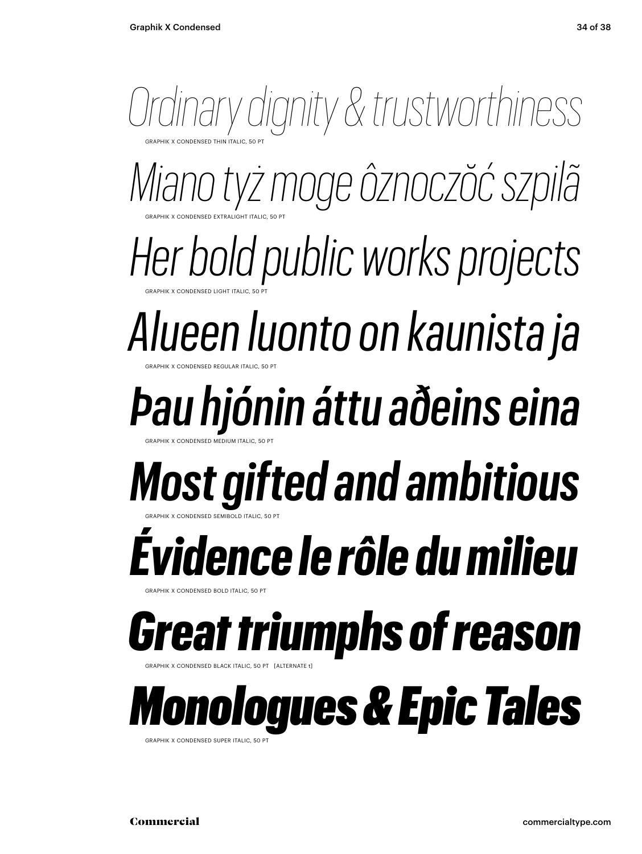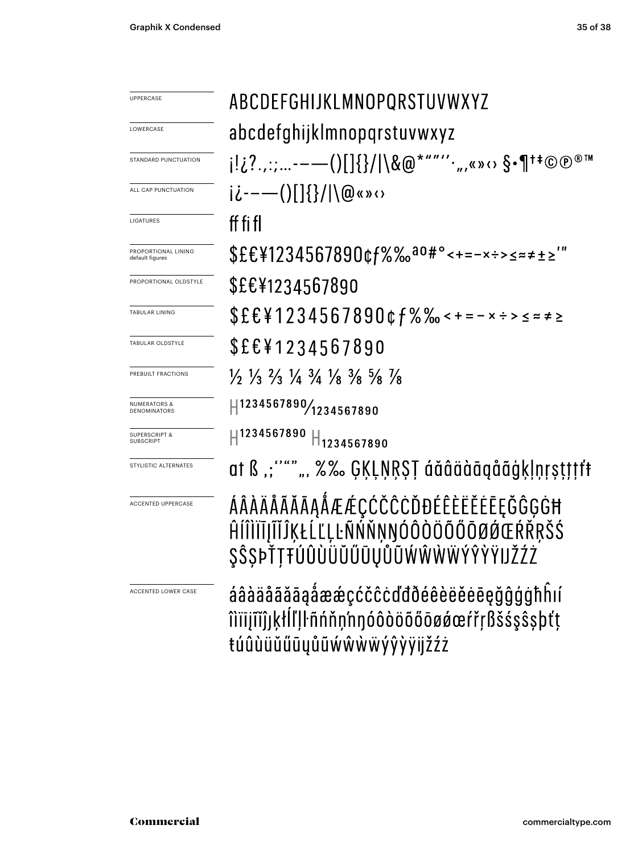| <b>UPPERCASE</b>                             | ABCDEFGHIJKLMNOPQRSTUVWXYZ<br>abcdefghijklmnopqrstuvwxyz                                                                                                                                                                                                                                                                                                                                                                                                                                                                                                               |  |  |  |  |
|----------------------------------------------|------------------------------------------------------------------------------------------------------------------------------------------------------------------------------------------------------------------------------------------------------------------------------------------------------------------------------------------------------------------------------------------------------------------------------------------------------------------------------------------------------------------------------------------------------------------------|--|--|--|--|
| LOWERCASE                                    |                                                                                                                                                                                                                                                                                                                                                                                                                                                                                                                                                                        |  |  |  |  |
| STANDARD PUNCTUATION                         |                                                                                                                                                                                                                                                                                                                                                                                                                                                                                                                                                                        |  |  |  |  |
|                                              |                                                                                                                                                                                                                                                                                                                                                                                                                                                                                                                                                                        |  |  |  |  |
| ALL CAP PUNCTUATION                          | $i\dot{\iota}$ ----()[]{}/ \@«» $\circ$                                                                                                                                                                                                                                                                                                                                                                                                                                                                                                                                |  |  |  |  |
| LIGATURES                                    | ff fi fl                                                                                                                                                                                                                                                                                                                                                                                                                                                                                                                                                               |  |  |  |  |
| PROPORTIONAL LINING<br>default figures       | \$£€¥1234567890¢f%‰ <sup>ao#</sup> °<+=-×÷>≤≈≠±≥'"                                                                                                                                                                                                                                                                                                                                                                                                                                                                                                                     |  |  |  |  |
| PROPORTIONAL OLDSTYLE                        | \$£€¥1234567890                                                                                                                                                                                                                                                                                                                                                                                                                                                                                                                                                        |  |  |  |  |
| <b>TABULAR LINING</b>                        | $$EEY1234567890$ cf%‰ < + = - × ÷ > ≤ ≈ ≠ ≥                                                                                                                                                                                                                                                                                                                                                                                                                                                                                                                            |  |  |  |  |
| TABULAR OLDSTYLE                             | \$£€¥1234567890                                                                                                                                                                                                                                                                                                                                                                                                                                                                                                                                                        |  |  |  |  |
| PREBUILT FRACTIONS                           | $\frac{1}{2}$ $\frac{1}{3}$ $\frac{2}{3}$ $\frac{1}{4}$ $\frac{3}{4}$ $\frac{1}{8}$ $\frac{3}{8}$ $\frac{5}{8}$ $\frac{1}{8}$                                                                                                                                                                                                                                                                                                                                                                                                                                          |  |  |  |  |
| <b>NUMERATORS &amp;</b><br>DENOMINATORS      | $\left  \right. \left  \right. \left  \right. \left  \right. \left  \right. \left  \right. \left  \right. \left  \right. \left  \right. \left  \right. \left  \right. \left  \right. \left  \right. \left  \right. \left  \right. \left  \right. \left  \right. \left  \right. \left  \right. \left  \right. \left  \right. \left  \right. \left  \right. \left  \right. \left  \right. \left  \right. \left  \right. \left  \right. \left  \right. \left  \right. \left  \right. \left  \right. \left  \right. \left  \right. \left  \right. \left  \right. \left  \$ |  |  |  |  |
| <b>SUPERSCRIPT &amp;</b><br><b>SUBSCRIPT</b> | H <sup>1234567890</sup><br>1234567890                                                                                                                                                                                                                                                                                                                                                                                                                                                                                                                                  |  |  |  |  |
| STYLISTIC ALTERNATES                         | at ß ,;""",,, %% GĶĻŅŖŞŢ áăâäàāąåãģķļņŗşţţţţf                                                                                                                                                                                                                                                                                                                                                                                                                                                                                                                          |  |  |  |  |
| <b>ACCENTED UPPERCASE</b>                    | ÁÂÀÄÅÃĂĀĀĄÅÆÆÇĆČĈĊĎĐÉÊÈËĚĒĘĞĜĢĠĦ<br>ĤÍÎÌÏĪJĨĬĴĶŁĹĽĻĿÑŃŇŅŊÓÔÒÖÕŐŌØØŒŔŘRŠŚ<br>\$Ŝ\$ÞŤTŦÚÛÙÜŬŰŪŲŮŨŴŴŴŴÝŶŶ                                                                                                                                                                                                                                                                                                                                                                                                                                                                 |  |  |  |  |
| ACCENTED LOWER CASE                          | áâàäåããāąåææçćčĉcďđðéêèëěeeğĝģġħhií<br>îlïijîĭĵjķłĺľļŀñńňn'nŋóôòöõőōøøœŕřŗßšśşŝşþťţ<br>túûùüŭűūyůũẃŵẁẅýŷỳÿijžźż                                                                                                                                                                                                                                                                                                                                                                                                                                                        |  |  |  |  |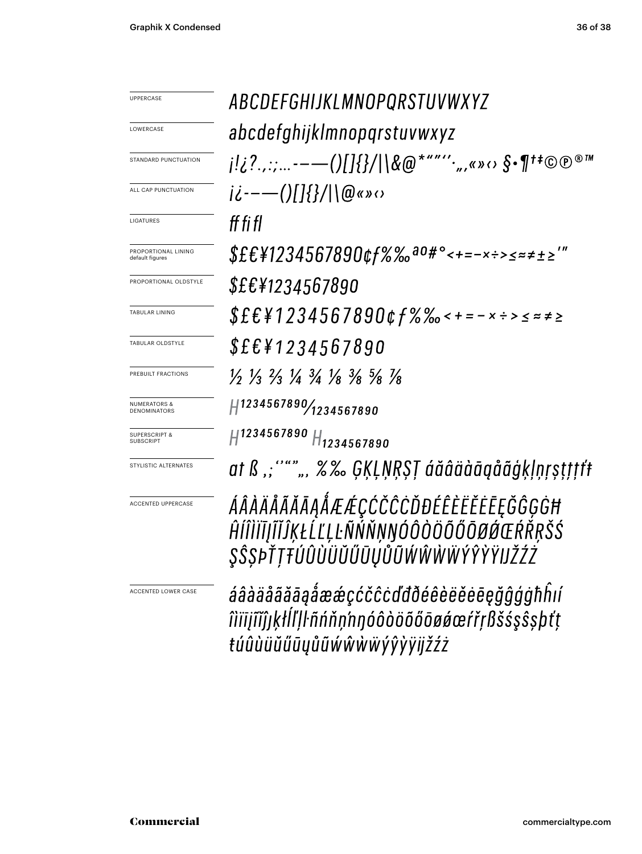| <b>UPPERCASE</b>                             | ABCDEFGHIJKLMNOPQRSTUVWXYZ                                                                                                                                                                                                                                                                                                                                                                                                              |
|----------------------------------------------|-----------------------------------------------------------------------------------------------------------------------------------------------------------------------------------------------------------------------------------------------------------------------------------------------------------------------------------------------------------------------------------------------------------------------------------------|
| LOWERCASE                                    | abcdefghijklmnopqrstuvwxyz                                                                                                                                                                                                                                                                                                                                                                                                              |
| STANDARD PUNCTUATION                         | $i_{i}[i_{i} \ldots --(1)]$ $\{i_{i}\}$ $\setminus$ $\setminus$ $\setminus$ $\setminus$ $\setminus$ $\setminus$ $\setminus$ $\setminus$ $\setminus$ $\setminus$ $\setminus$ $\setminus$ $\setminus$ $\setminus$ $\setminus$ $\setminus$ $\setminus$ $\setminus$ $\setminus$ $\setminus$ $\setminus$ $\setminus$ $\setminus$ $\setminus$ $\setminus$ $\setminus$ $\setminus$ $\setminus$ $\setminus$ $\setminus$ $\setminus$ $\setminus$ |
| ALL CAP PUNCTUATION                          | $i\dot{\zeta}$ ----()[]{}/ \@«» $\omega$                                                                                                                                                                                                                                                                                                                                                                                                |
| <b>LIGATURES</b>                             | ff fi fl                                                                                                                                                                                                                                                                                                                                                                                                                                |
| PROPORTIONAL LINING<br>default figures       | $$EE41234567890$ cf%‰ <sup>ao#</sup> °<+=-x÷>≤≈≠±≥'"                                                                                                                                                                                                                                                                                                                                                                                    |
| PROPORTIONAL OLDSTYLE                        | \$£€¥1234567890                                                                                                                                                                                                                                                                                                                                                                                                                         |
| <b>TABULAR LINING</b>                        | $$EEY1234567890$ cf%‰ < + = - x ÷ > ≤ ≈ ≠ ≥                                                                                                                                                                                                                                                                                                                                                                                             |
| <b>TABULAR OLDSTYLE</b>                      | \$£€¥1234567890                                                                                                                                                                                                                                                                                                                                                                                                                         |
| PREBUILT FRACTIONS                           | $\frac{1}{2}$ $\frac{1}{3}$ $\frac{2}{3}$ $\frac{1}{4}$ $\frac{3}{4}$ $\frac{1}{8}$ $\frac{3}{8}$ $\frac{5}{8}$ $\frac{1}{8}$                                                                                                                                                                                                                                                                                                           |
| <b>NUMERATORS &amp;</b><br>DENOMINATORS      | 41234567890/1234567890                                                                                                                                                                                                                                                                                                                                                                                                                  |
| <b>SUPERSCRIPT &amp;</b><br><b>SUBSCRIPT</b> | H1234567890 H1234567890                                                                                                                                                                                                                                                                                                                                                                                                                 |
| STYLISTIC ALTERNATES                         | at ß "; """ ", %‰ ĢĶĻŅŖŞŢ áăâäàāgåãģķļņŗṣṭţţţf                                                                                                                                                                                                                                                                                                                                                                                          |
| <b>ACCENTED UPPERCASE</b>                    | ÁÂÀÄÅÃĂĀĀĄÅÆÆÇĆČĈĊĎĐÉÊÈËĔĒĘĞĜĢĠĦ<br>ĤÍÎÌĬĪJĨĬĴĶŁĹĽĻĿÑŃŇŅŊÓÔÒÖÕŐŌØØŒŔŘŖŠŚ<br>\$\$\$ÞŤTŦÚÛÙÜŬŰŨŪŮŨŴŴŴŴŶŶŶŸ                                                                                                                                                                                                                                                                                                                                |
| <b>ACCENTED LOWER CASE</b>                   | áâàäåãããąåææçćčĉcďđðéêèëěēeğĝģġħĥií<br>îìïījĩĭĵıķłĺľļŀñńňņ'nŋóôòöõőōøǿœŕřŗßšśşŝşþťț<br>túûùüŭűūyůũŵŵẁẅýŷỳÿijžźż                                                                                                                                                                                                                                                                                                                         |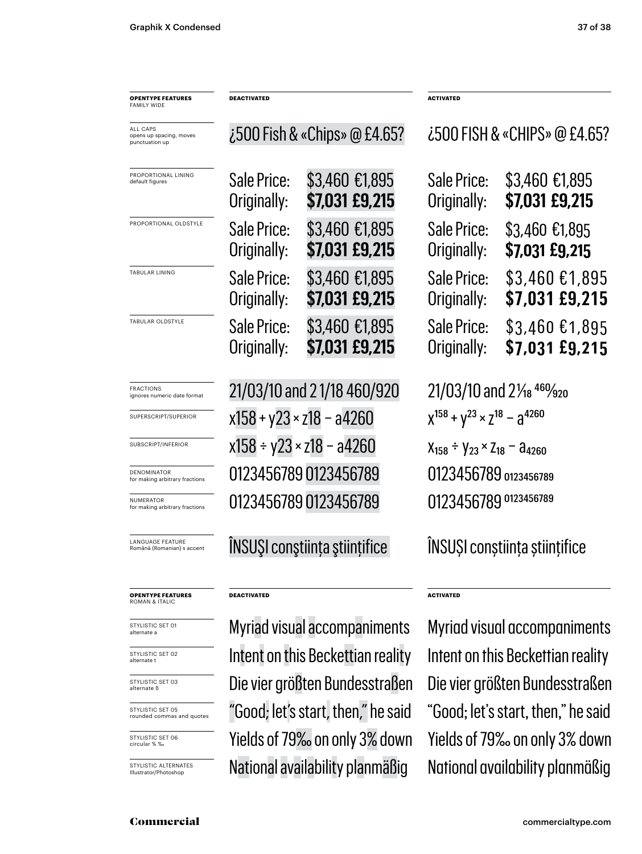| <b>OPENTYPE FEATURES</b><br>FAMILY WIDE               | <b>DEACTIVATED</b>                  |                                      | <b>ACTIVATED</b>                                   |                                   |
|-------------------------------------------------------|-------------------------------------|--------------------------------------|----------------------------------------------------|-----------------------------------|
| ALL CAPS<br>opens up spacing, moves<br>punctuation up | $\zeta$ 500 Fish & «Chips» @ £4.65? |                                      | ¿500 FISH & «CHIPS» @ £4.65?                       |                                   |
| PROPORTIONAL LINING<br>default figures                | Sale Price:<br>Originally:          | \$3,460 €1,895<br>\$7,031 £9,215     | Sale Price:<br>Originally:                         | \$3,460 €1,895<br>\$7,031 £9,215  |
| PROPORTIONAL OLDSTYLE                                 | Sale Price:<br>Originally:          | \$3,460 €1,895<br>\$7,031 £9,215     | Sale Price:<br>Originally:                         | $$3,460$ £1,895<br>\$7,031 £9,215 |
| TABULAR LINING                                        | Sale Price:<br>Originally:          | \$3,460 €1,895<br>\$7,031 £9,215     | Sale Price:<br>Originally:                         | \$3,460 €1,895<br>\$7,031 £9,215  |
| TABULAR OLDSTYLE                                      | Sale Price:<br>Originally:          | \$3,460 €1,895<br>\$7,031 £9,215     | Sale Price:<br>Originally:                         | $$3,460$ £1,895<br>\$7,031 £9,215 |
| <b>FRACTIONS</b><br>ignores numeric date format       | 21/03/10 and 21/18 460/920          |                                      | 21/03/10 and 21/ <sub>18</sub> 460/ <sub>920</sub> |                                   |
| SUPERSCRIPT/SUPERIOR                                  | $x158 + y23 \times z18 - a4260$     |                                      | $X^{158} + Y^{23} \times Z^{18} - Z^{4260}$        |                                   |
| SUBSCRIPT/INFERIOR                                    | $x158 \div y23 \times z18 - a4260$  |                                      | $X_{158} \div Y_{23} \times Z_{18} - A_{4260}$     |                                   |
| DENOMINATOR<br>for making arbitrary fractions         |                                     | 0123456789 0123456789                | 0123456789 0123456789                              |                                   |
| <b>NUMERATOR</b><br>for making arbitrary fractions    |                                     | 0123456789 0123456789                | 0123456789 0123456789                              |                                   |
| LANGUAGE FEATURE<br>Română (Romanian) s accent        |                                     | <b>INSUSI</b> constiința științifice | INSUȘI conștiința științifice                      |                                   |
| <b>OPENTYPE FEATURES</b><br>ROMAN & ITALIC            | <b>DEACTIVATED</b>                  |                                      | <b>ACTIVATED</b>                                   |                                   |
| STYLISTIC SET 01<br>alternate a                       |                                     | Myriad visual accompaniments         | Myriad visual accompaniments                       |                                   |
| STYLISTIC SET 02<br>alternate t                       |                                     | Intent on this Beckettian reality    | Intent on this Beckettian reality                  |                                   |
| STYLISTIC SET 03<br>alternate ß                       |                                     | Die vier größten Bundesstraßen       | Die vier größten Bundesstraßen                     |                                   |
| STYLISTIC SET 05<br>rounded commas and quotes         |                                     | "Good; let's start, then," he said   | "Good; let's start, then," he said                 |                                   |

STYLISTIC SET 06 circular % ‰

STYLISTIC ALTERNATES Illustrator/Photoshop

 $\sim$  0000; let s start, then, The said  $\sim$  0000; let s start, then, Yields of 79‰ on only 3% down Yields of 79‰ on only 3% down National availability planmäßig National availability planmäßig

Commercial commercialtype.com